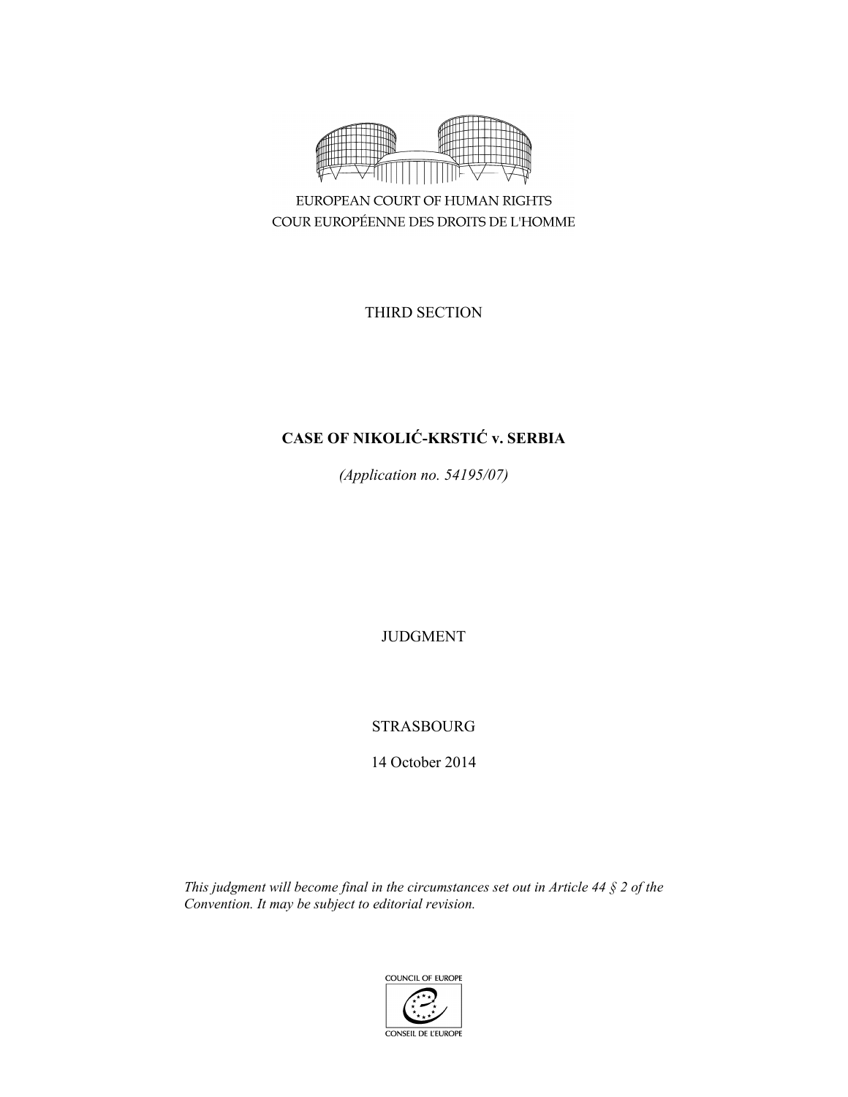

EUROPEAN COURT OF HUMAN RIGHTS COUR EUROPÉENNE DES DROITS DE L'HOMME

THIRD SECTION

# **CASE OF NIKOLIĆ-KRSTIĆ v. SERBIA**

*(Application no. 54195/07)* 

JUDGMENT

STRASBOURG

14 October 2014

*This judgment will become final in the circumstances set out in Article 44 § 2 of the Convention. It may be subject to editorial revision.* 

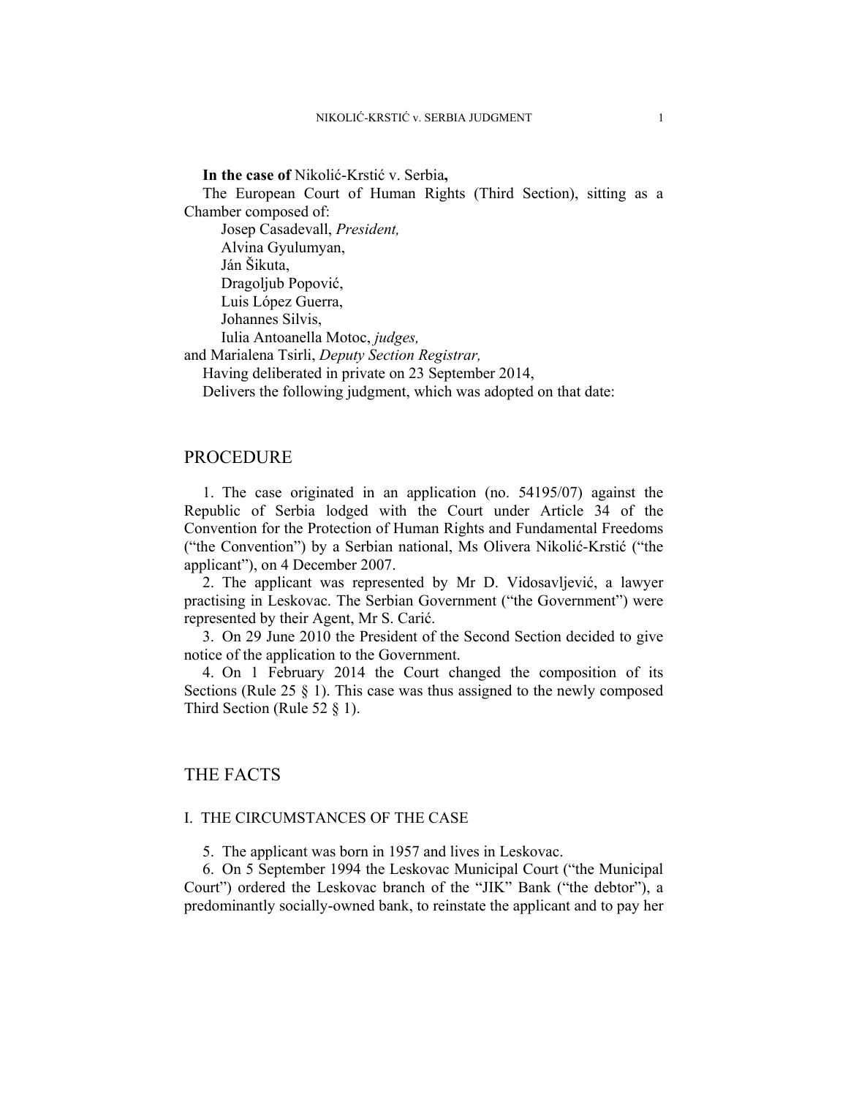**In the case of** Nikolić-Krstić v. Serbia**,** 

The European Court of Human Rights (Third Section), sitting as a Chamber composed of:

 Josep Casadevall, *President,*  Alvina Gyulumyan, Ján Šikuta, Dragoljub Popović, Luis López Guerra, Johannes Silvis, Iulia Antoanella Motoc, *judges,*

and Marialena Tsirli, *Deputy Section Registrar,*

Having deliberated in private on 23 September 2014,

Delivers the following judgment, which was adopted on that date:

## PROCEDURE

1. The case originated in an application (no. 54195/07) against the Republic of Serbia lodged with the Court under Article 34 of the Convention for the Protection of Human Rights and Fundamental Freedoms ("the Convention") by a Serbian national, Ms Olivera Nikolić-Krstić ("the applicant"), on 4 December 2007.

2. The applicant was represented by Mr D. Vidosavljević, a lawyer practising in Leskovac. The Serbian Government ("the Government") were represented by their Agent, Mr S. Carić.

3. On 29 June 2010 the President of the Second Section decided to give notice of the application to the Government.

4. On 1 February 2014 the Court changed the composition of its Sections (Rule 25 § 1). This case was thus assigned to the newly composed Third Section (Rule 52 § 1).

# THE FACTS

## I. THE CIRCUMSTANCES OF THE CASE

5. The applicant was born in 1957 and lives in Leskovac.

6. On 5 September 1994 the Leskovac Municipal Court ("the Municipal Court") ordered the Leskovac branch of the "JIK" Bank ("the debtor"), a predominantly socially-owned bank, to reinstate the applicant and to pay her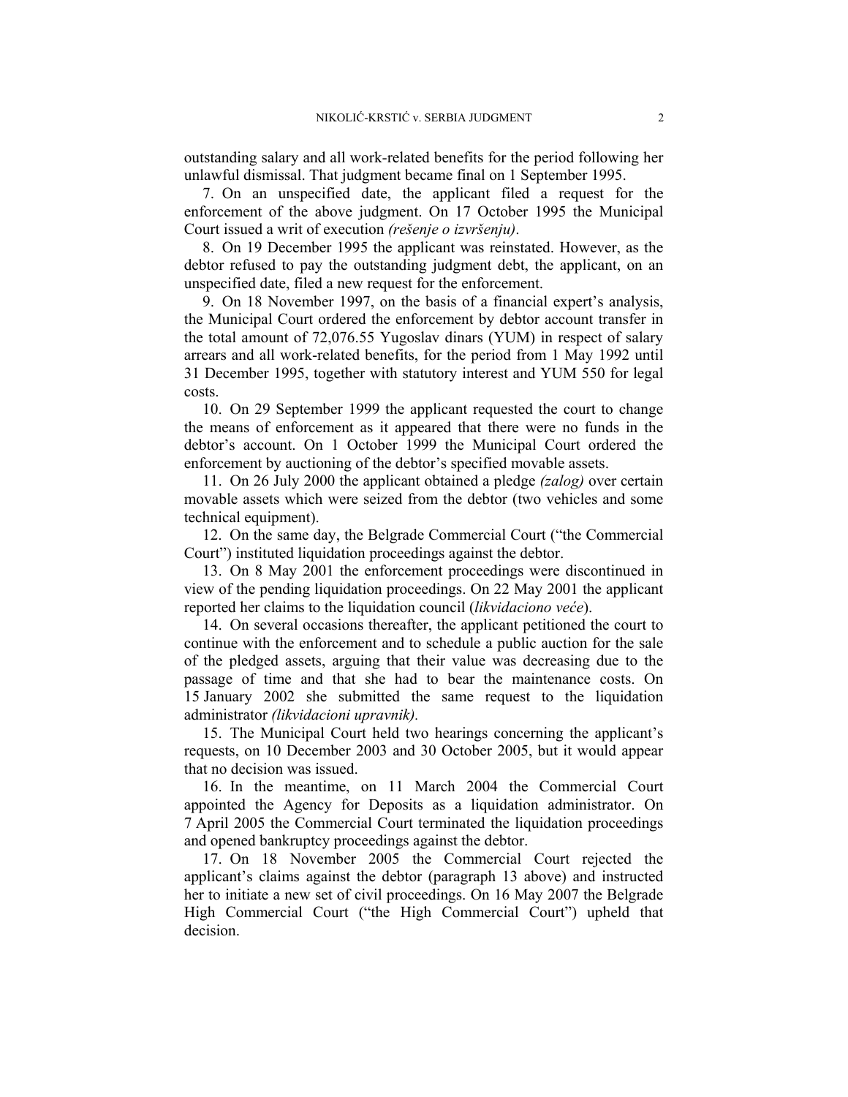outstanding salary and all work-related benefits for the period following her unlawful dismissal. That judgment became final on 1 September 1995.

7. On an unspecified date, the applicant filed a request for the enforcement of the above judgment. On 17 October 1995 the Municipal Court issued a writ of execution *(rešenje o izvršenju)*.

8. On 19 December 1995 the applicant was reinstated. However, as the debtor refused to pay the outstanding judgment debt, the applicant, on an unspecified date, filed a new request for the enforcement.

9. On 18 November 1997, on the basis of a financial expert's analysis, the Municipal Court ordered the enforcement by debtor account transfer in the total amount of 72,076.55 Yugoslav dinars (YUM) in respect of salary arrears and all work-related benefits, for the period from 1 May 1992 until 31 December 1995, together with statutory interest and YUM 550 for legal costs.

10. On 29 September 1999 the applicant requested the court to change the means of enforcement as it appeared that there were no funds in the debtor's account. On 1 October 1999 the Municipal Court ordered the enforcement by auctioning of the debtor's specified movable assets.

11. On 26 July 2000 the applicant obtained a pledge *(zalog)* over certain movable assets which were seized from the debtor (two vehicles and some technical equipment).

12. On the same day, the Belgrade Commercial Court ("the Commercial Court") instituted liquidation proceedings against the debtor.

13. On 8 May 2001 the enforcement proceedings were discontinued in view of the pending liquidation proceedings. On 22 May 2001 the applicant reported her claims to the liquidation council (*likvidaciono veće*).

14. On several occasions thereafter, the applicant petitioned the court to continue with the enforcement and to schedule a public auction for the sale of the pledged assets, arguing that their value was decreasing due to the passage of time and that she had to bear the maintenance costs. On 15 January 2002 she submitted the same request to the liquidation administrator *(likvidacioni upravnik).* 

15. The Municipal Court held two hearings concerning the applicant's requests, on 10 December 2003 and 30 October 2005, but it would appear that no decision was issued.

16. In the meantime, on 11 March 2004 the Commercial Court appointed the Agency for Deposits as a liquidation administrator. On 7 April 2005 the Commercial Court terminated the liquidation proceedings and opened bankruptcy proceedings against the debtor.

17. On 18 November 2005 the Commercial Court rejected the applicant's claims against the debtor (paragraph 13 above) and instructed her to initiate a new set of civil proceedings. On 16 May 2007 the Belgrade High Commercial Court ("the High Commercial Court") upheld that decision.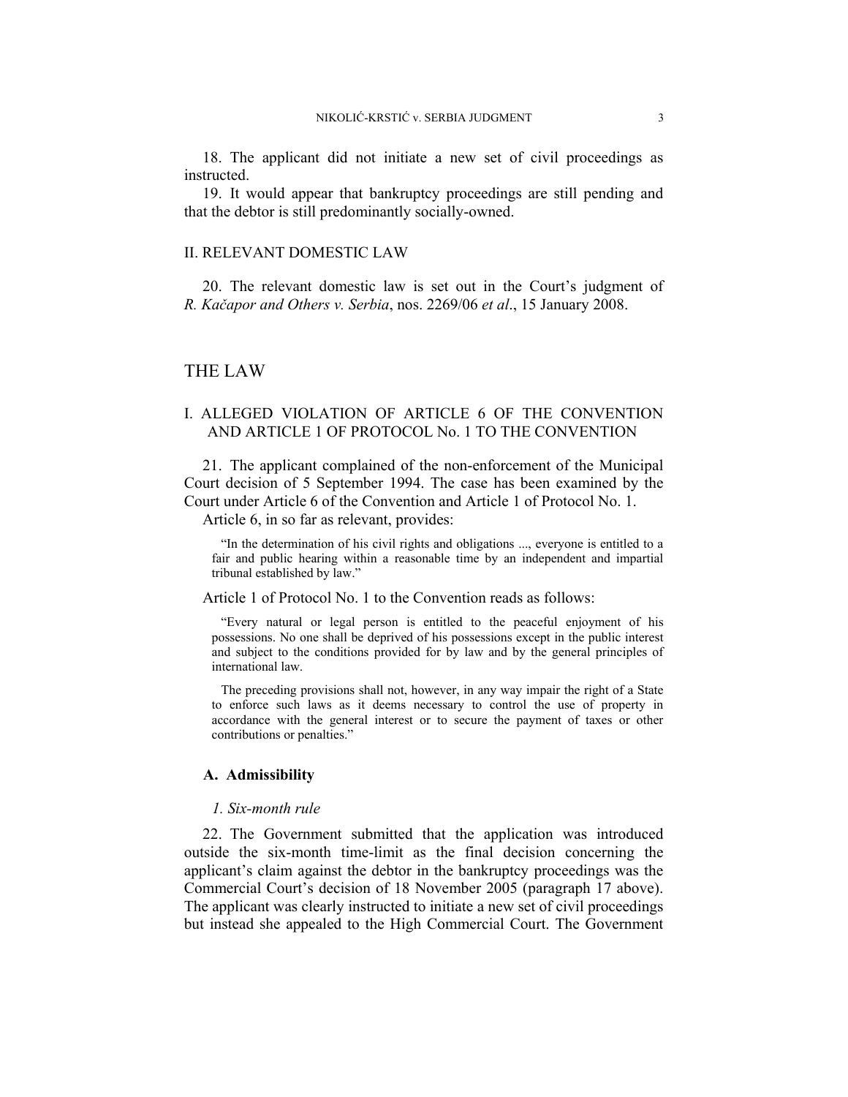18. The applicant did not initiate a new set of civil proceedings as instructed.

19. It would appear that bankruptcy proceedings are still pending and that the debtor is still predominantly socially-owned.

#### II. RELEVANT DOMESTIC LAW

20. The relevant domestic law is set out in the Court's judgment of *R. Kačapor and Others v. Serbia*, nos. 2269/06 *et al*., 15 January 2008.

### THE LAW

## I. ALLEGED VIOLATION OF ARTICLE 6 OF THE CONVENTION AND ARTICLE 1 OF PROTOCOL No. 1 TO THE CONVENTION

21. The applicant complained of the non-enforcement of the Municipal Court decision of 5 September 1994. The case has been examined by the Court under Article 6 of the Convention and Article 1 of Protocol No. 1.

Article 6, in so far as relevant, provides:

"In the determination of his civil rights and obligations ..., everyone is entitled to a fair and public hearing within a reasonable time by an independent and impartial tribunal established by law."

Article 1 of Protocol No. 1 to the Convention reads as follows:

"Every natural or legal person is entitled to the peaceful enjoyment of his possessions. No one shall be deprived of his possessions except in the public interest and subject to the conditions provided for by law and by the general principles of international law.

The preceding provisions shall not, however, in any way impair the right of a State to enforce such laws as it deems necessary to control the use of property in accordance with the general interest or to secure the payment of taxes or other contributions or penalties."

#### **A. Admissibility**

#### *1. Six-month rule*

22. The Government submitted that the application was introduced outside the six-month time-limit as the final decision concerning the applicant's claim against the debtor in the bankruptcy proceedings was the Commercial Court's decision of 18 November 2005 (paragraph 17 above). The applicant was clearly instructed to initiate a new set of civil proceedings but instead she appealed to the High Commercial Court. The Government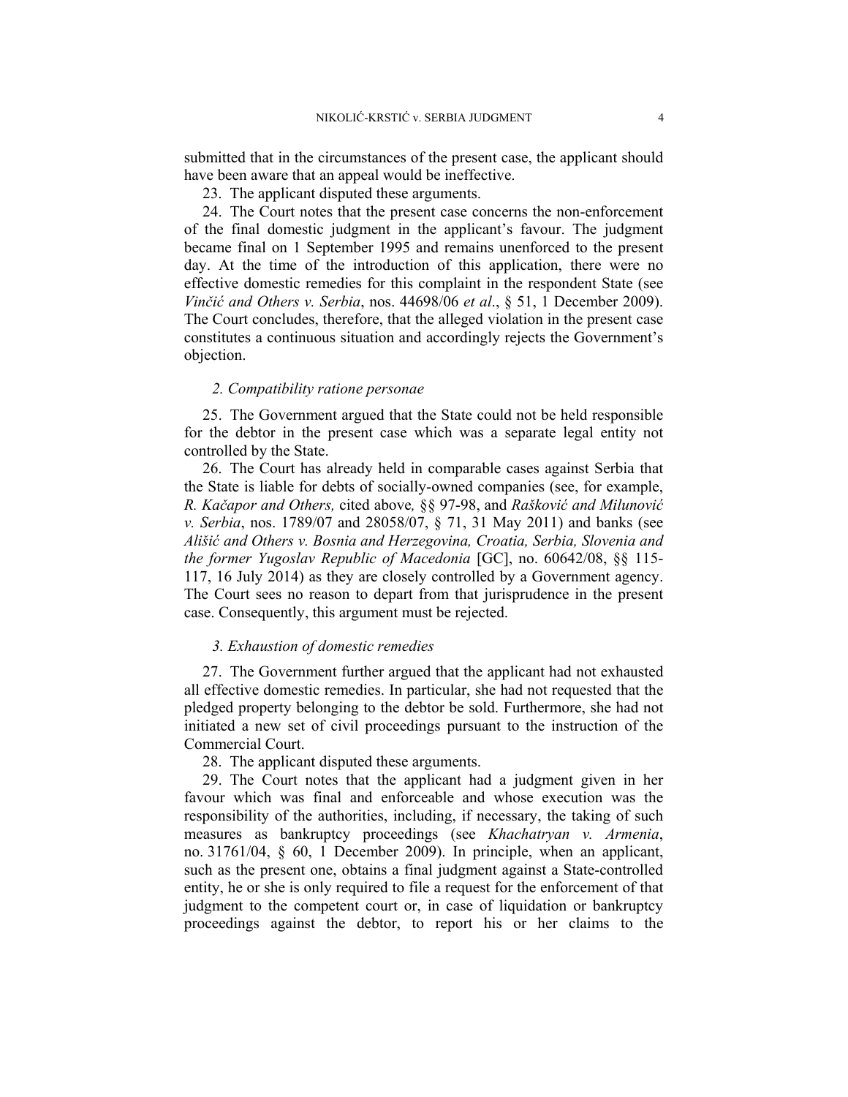submitted that in the circumstances of the present case, the applicant should have been aware that an appeal would be ineffective.

23. The applicant disputed these arguments.

24. The Court notes that the present case concerns the non-enforcement of the final domestic judgment in the applicant's favour. The judgment became final on 1 September 1995 and remains unenforced to the present day. At the time of the introduction of this application, there were no effective domestic remedies for this complaint in the respondent State (see *Vinčić and Others v. Serbia*, nos. 44698/06 *et al*., § 51, 1 December 2009). The Court concludes, therefore, that the alleged violation in the present case constitutes a continuous situation and accordingly rejects the Government's objection.

## *2. Compatibility ratione personae*

25. The Government argued that the State could not be held responsible for the debtor in the present case which was a separate legal entity not controlled by the State.

26. The Court has already held in comparable cases against Serbia that the State is liable for debts of socially-owned companies (see, for example, *R. Kačapor and Others,* cited above*,* §§ 97-98, and *Rašković and Milunović v. Serbia*, nos. 1789/07 and 28058/07, § 71, 31 May 2011) and banks (see *Ališić and Others v. Bosnia and Herzegovina, Croatia, Serbia, Slovenia and the former Yugoslav Republic of Macedonia* [GC], no. 60642/08, §§ 115- 117, 16 July 2014) as they are closely controlled by a Government agency. The Court sees no reason to depart from that jurisprudence in the present case. Consequently, this argument must be rejected.

#### *3. Exhaustion of domestic remedies*

27. The Government further argued that the applicant had not exhausted all effective domestic remedies. In particular, she had not requested that the pledged property belonging to the debtor be sold. Furthermore, she had not initiated a new set of civil proceedings pursuant to the instruction of the Commercial Court.

28. The applicant disputed these arguments.

29. The Court notes that the applicant had a judgment given in her favour which was final and enforceable and whose execution was the responsibility of the authorities, including, if necessary, the taking of such measures as bankruptcy proceedings (see *Khachatryan v. Armenia*, no. 31761/04, § 60, 1 December 2009). In principle, when an applicant, such as the present one, obtains a final judgment against a State-controlled entity, he or she is only required to file a request for the enforcement of that judgment to the competent court or, in case of liquidation or bankruptcy proceedings against the debtor, to report his or her claims to the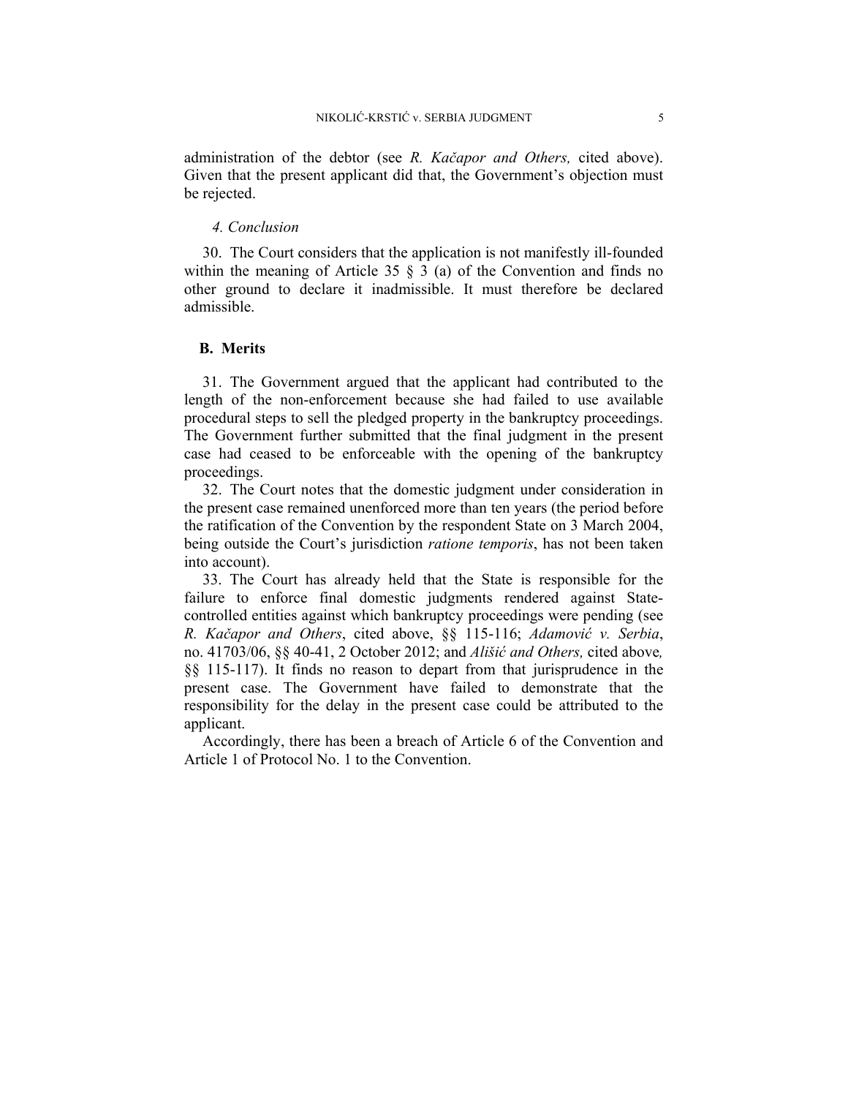administration of the debtor (see *R. Kačapor and Others,* cited above). Given that the present applicant did that, the Government's objection must be rejected.

## *4. Conclusion*

30. The Court considers that the application is not manifestly ill-founded within the meaning of Article 35  $\S$  3 (a) of the Convention and finds no other ground to declare it inadmissible. It must therefore be declared admissible.

#### **B. Merits**

31. The Government argued that the applicant had contributed to the length of the non-enforcement because she had failed to use available procedural steps to sell the pledged property in the bankruptcy proceedings. The Government further submitted that the final judgment in the present case had ceased to be enforceable with the opening of the bankruptcy proceedings.

32. The Court notes that the domestic judgment under consideration in the present case remained unenforced more than ten years (the period before the ratification of the Convention by the respondent State on 3 March 2004, being outside the Court's jurisdiction *ratione temporis*, has not been taken into account).

33. The Court has already held that the State is responsible for the failure to enforce final domestic judgments rendered against Statecontrolled entities against which bankruptcy proceedings were pending (see *R. Kačapor and Others*, cited above, §§ 115-116; *Adamović v. Serbia*, no. 41703/06, §§ 40-41, 2 October 2012; and *Ališić and Others,* cited above*,*  §§ 115-117). It finds no reason to depart from that jurisprudence in the present case. The Government have failed to demonstrate that the responsibility for the delay in the present case could be attributed to the applicant.

Accordingly, there has been a breach of Article 6 of the Convention and Article 1 of Protocol No. 1 to the Convention.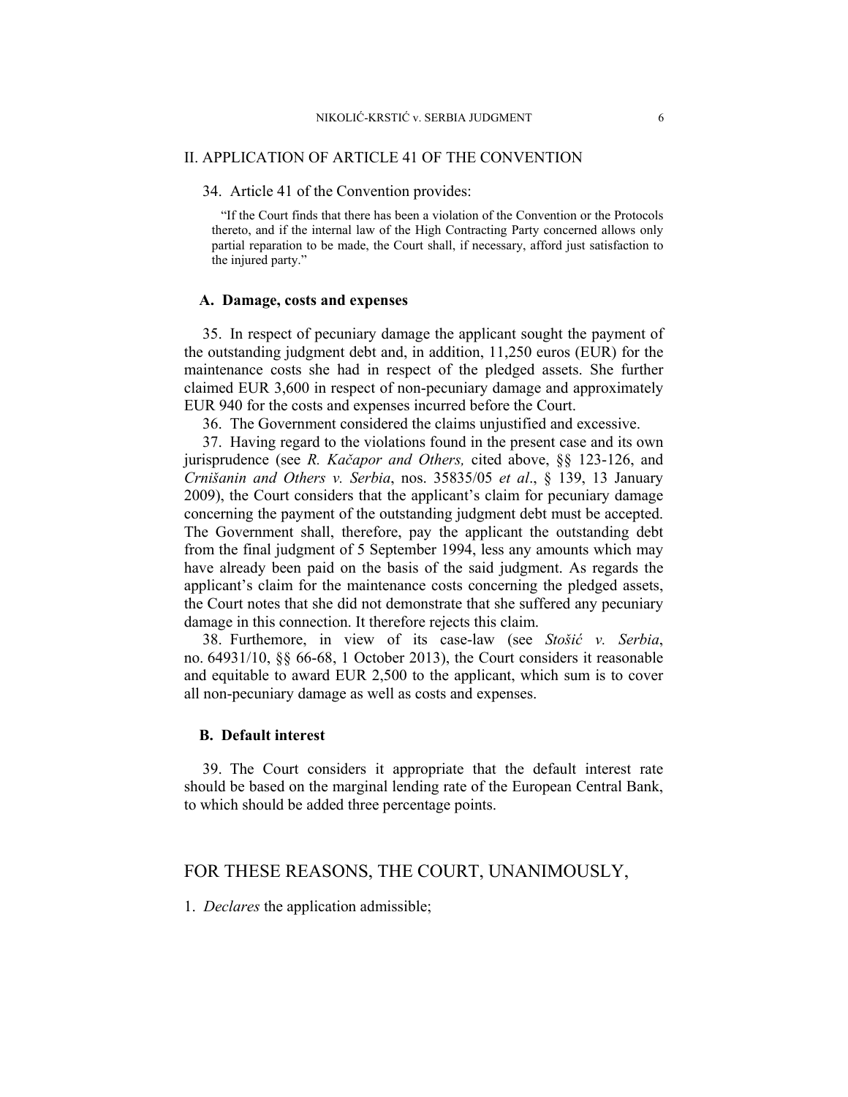#### II. APPLICATION OF ARTICLE 41 OF THE CONVENTION

34. Article 41 of the Convention provides:

"If the Court finds that there has been a violation of the Convention or the Protocols thereto, and if the internal law of the High Contracting Party concerned allows only partial reparation to be made, the Court shall, if necessary, afford just satisfaction to the injured party."

#### **A. Damage, costs and expenses**

35. In respect of pecuniary damage the applicant sought the payment of the outstanding judgment debt and, in addition, 11,250 euros (EUR) for the maintenance costs she had in respect of the pledged assets. She further claimed EUR 3,600 in respect of non-pecuniary damage and approximately EUR 940 for the costs and expenses incurred before the Court.

36. The Government considered the claims unjustified and excessive.

37. Having regard to the violations found in the present case and its own jurisprudence (see *R. Kačapor and Others,* cited above, §§ 123-126, and *Crnišanin and Others v. Serbia*, nos. 35835/05 *et al*., § 139, 13 January 2009), the Court considers that the applicant's claim for pecuniary damage concerning the payment of the outstanding judgment debt must be accepted. The Government shall, therefore, pay the applicant the outstanding debt from the final judgment of 5 September 1994, less any amounts which may have already been paid on the basis of the said judgment. As regards the applicant's claim for the maintenance costs concerning the pledged assets, the Court notes that she did not demonstrate that she suffered any pecuniary damage in this connection. It therefore rejects this claim.

38. Furthemore, in view of its case-law (see *Stošić v. Serbia*, no. 64931/10, §§ 66-68, 1 October 2013), the Court considers it reasonable and equitable to award EUR 2,500 to the applicant, which sum is to cover all non-pecuniary damage as well as costs and expenses.

#### **B. Default interest**

39. The Court considers it appropriate that the default interest rate should be based on the marginal lending rate of the European Central Bank, to which should be added three percentage points.

## FOR THESE REASONS, THE COURT, UNANIMOUSLY,

1. *Declares* the application admissible;